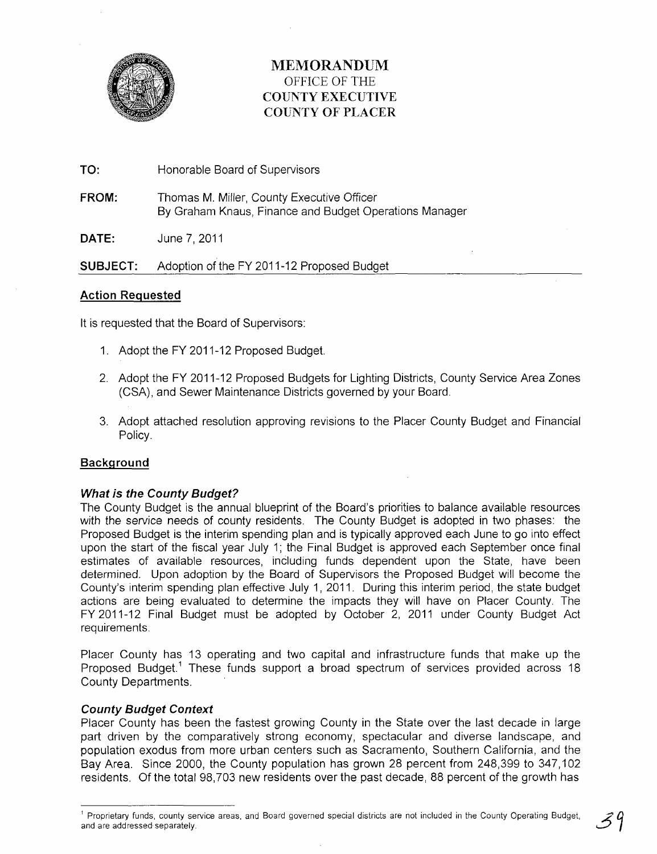

# **MEMORANDUM**  OFFICE OF THE **COUNTY EXECUTIVE COUNTY OF PLACER**

**TO:** Honorable Board of Supervisors

**FROM:** Thomas M. Miller, County Executive Officer By Graham Knaus, Finance and Budget Operations Manager

**DATE:** June 7,2011

**SUBJECT:** Adoption of the FY 2011-12 Proposed Budget

# **Action Requested**

It is requested that the Board of Supervisors:

- 1. Adopt the FY 2011-12 Proposed Budget.
- 2. Adopt the FY 2011-12 Proposed Budgets for Lighting Districts, County Service Area Zones (CSA), and Sewer Maintenance Districts governed by your Board.
- 3. Adopt attached resolution approving revisions to the Placer County Budget and Financial Policy.

# **Background**

# **What is the County Budget?**

The County Budget is the annual blueprint of the Board's priorities to balance available resources with the service needs of county residents. The County Budget is adopted in two phases: the Proposed Budget is the interim spending plan and is typically approved each June to go into effect upon the start of the fiscal year July 1; the Final Budget is approved each September once final estimates of available resources, including funds dependent upon the State, have been determined. Upon adoption by the Board of Supervisors the Proposed Budget will become the County's interim spending plan effective July 1, 2011. During this interim period, the state budget actions are being evaluated to determine the impacts they will have on Placer County. The FY 2011-12 Final Budget must be adopted by October 2, 2011 under County Budget Act requirements.

Placer County has 13 operating and two capital and infrastructure funds that make up the Proposed Budget.<sup>1</sup> These funds support a broad spectrum of services provided across 18 County Departments.

# **County Budget Context**

Placer County has been the fastest growing County in the State over the last decade in large part driven by the comparatively strong economy, spectacular and diverse landscape, and population exodus from more urban centers such as Sacramento, Southern California, and the Bay Area. Since 2000, the County population has grown 28 percent from 248,399 to 347,102 residents. Of the total 98,703 new residents over the past decade, 88 percent of the growth has

<sup>&</sup>lt;sup>1</sup> Proprietary funds, county service areas, and Board governed special districts are not included in the County Operating Budget, and are addressed separately.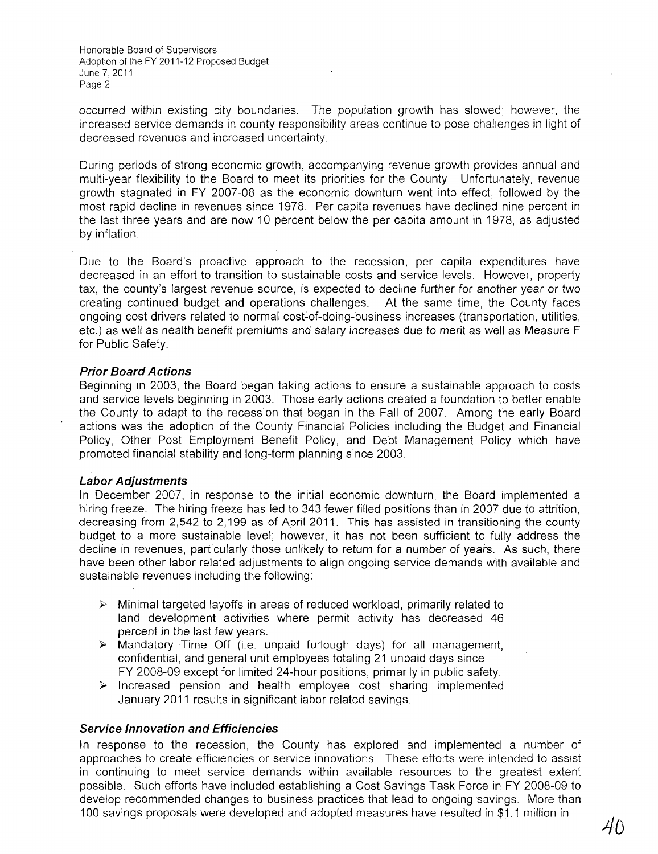occurred within existing city boundaries. The population growth has slowed; however, the increased service demands in county responsibility areas continue to pose challenges in light of decreased revenues and increased uncertainty

During periods of strong economic growth, accompanying revenue growth provides annual and multi-year flexibility to the Board to meet its priorities for the County. Unfortunately, revenue growth stagnated in FY 2007-08 as the economic downturn went into effect, followed by the most rapid decline in revenues since 1978. Per capita revenues have declined nine percent in the last three years and are now 10 percent below the per capita amount in 1978, as adjusted by inflation.

Due to the Board's proactive approach to the recession, per capita expenditures have decreased in an effort to transition to sustainable costs and service levels. However, property tax, the county's largest revenue source, is expected to decline further for another year or two creating continued budget and operations challenges. At the same time, the County faces ongoing cost drivers related to normal cost-of-doing-business increases (transportation, utilities, etc.) as well as health benefit premiums and salary increases due to merit as well as Measure F for Public Safety.

## **Prior Board Actions**

Beginning in 2003, the Board began taking actions to ensure a sustainable approach to costs and service levels beginning in 2003. Those early actions created a foundation to better enable the County to adapt to the recession that began in the Fall of 2007. Among the early Board actions was the adoption of the County Financial Policies including the Budget and Financial Policy, Other Post Employment Benefit Policy, and Debt Management Policy which have promoted financial stability and long-term planning since 2003.

#### **Labor Adjustments**

In December 2007, in response to the initial economic downturn, the Board implemented a hiring freeze. The hiring freeze has led to 343 fewer filled positions than in 2007 due to attrition, decreasing from 2,542 to 2,199 as of April 2011. This has assisted in transitioning the county budget to a more sustainable level; however, it has not been sufficient to fully address the decline in revenues, particularly those unlikely to return for a number of years. As such, there have been other labor related adjustments to align ongoing service demands with available and sustainable revenues including the following:

- $\triangleright$  Minimal targeted layoffs in areas of reduced workload, primarily related to land development activities where permit activity has decreased 46 percent in the last few years.
- $\triangleright$  Mandatory Time Off (i.e. unpaid furlough days) for all management, confidential, and general unit employees totaling 21 unpaid days since FY 2008-09 except for limited 24-hour positions, primarily in public safety.
- $\triangleright$  Increased pension and health employee cost sharing implemented January 2011 results in significant labor related savings.

#### **Service Innovation and Efficiencies**

In response to the recession, the County has explored and implemented a number of approaches to create efficiencies or service innovations. These efforts were intended to assist in continuing to meet service demands within available resources to the greatest extent possible. Such efforts have included establishing a Cost Savings Task Force in FY 2008-09 to develop recommended changes to business practices that lead to ongoing savings. More than 100 savings proposals were developed and adopted measures have resulted in \$1.1 million in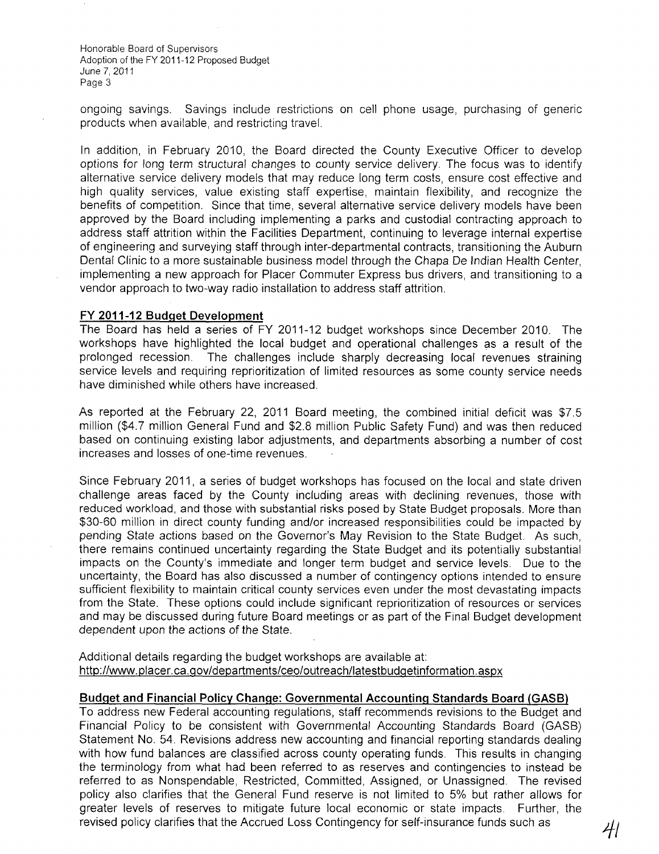ongoing savings. Savings include restrictions on cell phone usage, purchasing of generic products when available, and restricting travel.

In addition, in February 2010, the Board directed the County Executive Officer to develop options for long term structural changes to county service delivery. The focus was to identify alternative service delivery models that may reduce long term costs, ensure cost effective and high quality services, value existing staff expertise, maintain flexibility, and recognize the benefits of competition. Since that time, several alternative service delivery models have been approved by the Board including implementing a parks and custodial contracting approach to address staff attrition within the Facilities Department, continuing to leverage internal expertise of engineering and surveying staff through inter-departmental contracts, transitioning the Auburn Dental Clinic to a more sustainable business model through the Chapa De Indian Health Center, implementing a new approach for Placer Commuter Express bus drivers, and transitioning to a vendor approach to two-way radio installation to address staff attrition.

#### **FY 2011-12 Budget Development**

The Board has held a series of **FY** 2011-12 budget workshops since December 2010. The workshops have highlighted the local budget and operational challenges as a result of the prolonged recession. The challenges include sharply decreasing local revenues straining service levels and requiring reprioritization of limited resources as some county service needs have diminished while others have increased.

As reported at the February 22, 2011 Board meeting, the combined initial deficit was \$7.5 million (\$4.7 million General Fund and \$2.8 million Public Safety Fund) and was then reduced based on continuing existing labor adjustments, and departments absorbing a number of cost increases and losses of one-time revenues.

Since February 2011, a series of budget workshops has focused on the local and state driven challenge areas faced by the County including areas with declining revenues, those with reduced workload, and those with substantial risks posed by State Budget proposals. More than \$30-60 million in direct county funding and/or increased responsibilities could be impacted by pending State actions based on the Governor's May Revision to the State Budget. As such, there remains continued uncertainty regarding the State Budget and its potentially substantial impacts on the County's immediate and longer term budget and service levels. Due to the uncertainty, the Board has also discussed a number of contingency options intended to ensure sufficient flexibility to maintain critical county services even under the most devastating impacts from the State. These options could include significant reprioritization of resources or services and may be discussed during future Board meetings or as part of the Final Budget development dependent upon the actions of the State.

Additional details regarding the budget workshops are available at: http://www.placer.ca.gov/departments/ceo/outreach/latestbudgetinformation.aspx

# **Budget and Financial Policy Change: Governmental Accounting Standards Board (GASB)**

To address new Federal accounting regulations, staff recommends revisions to the Budget and Financial Policy to be consistent with Governmental Accounting Standards Board (GASB) Statement No. 54. Revisions address new accounting and financial reporting standards dealing with how fund balances are classified across county operating funds. This results in changing the terminology from what had been referred to as reserves and contingencies to instead be referred to as Nonspendable, Restricted, Committed, Assigned, or Unassigned. The revised policy also clarifies that the General Fund reserve is not limited to 5% but rather allows for greater levels of reserves to mitigate future local economic or state impacts. Further, the revised policy clarifies that the Accrued Loss Contingency for self-insurance funds such as **41**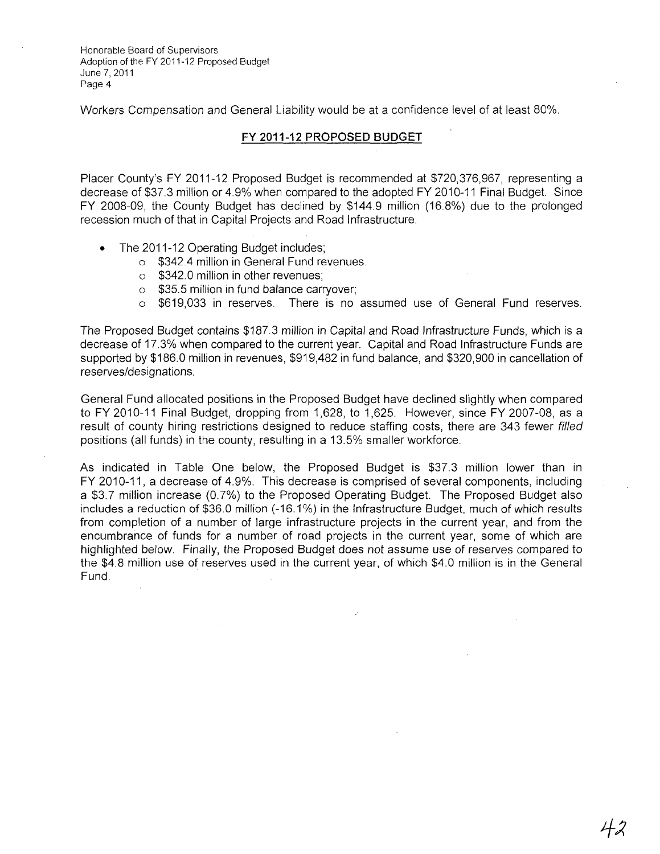Workers Compensation and General Liability would be at a confidence level of at least 80%.

# **FY 2011-12 PROPOSED BUDGET**

Placer County's FY 2011-12 Proposed Budget is recommended at \$720,376,967, representing a decrease of \$37.3 million or 4.9% when compared to the adopted FY 2010-11 Final Budget. Since FY 2008-09, the County Budget has declined by \$144.9 million (16.8%) due to the prolonged recession much of that in Capital Projects and Road Infrastructure.

- The 2011-12 Operating Budget includes;
	- o \$342.4 million in General Fund revenues.
	- o \$342.0 million in other revenues;
	- o \$35.5 million in fund balance carryover;
	- o \$619,033 in reserves. There is no assumed use of General Fund reserves.

The Proposed Budget contains \$187.3 million in Capital and Road Infrastructure Funds, which is a decrease of 17.3% when compared to the current year. Capital and Road Infrastructure Funds are supported by \$186.0 million in revenues, \$919,482 in fund balance, and \$320,900 in cancellation of reserves/designations.

General Fund allocated positions in the Proposed Budget have declined slightly when compared to FY 2010-11 Final Budget, dropping from 1,628, to 1,625. However, since FY 2007-08, as a result of county hiring restrictions designed to reduce staffing costs, there are 343 fewer filled positions (all funds) in the county, resulting in a 13.5% smaller workforce.

As indicated in Table One below, the Proposed Budget is \$37.3 million lower than in FY 2010-11, a decrease of 4.9%. This decrease is comprised of several components, including a \$3.7 million increase (0.7%) to the Proposed Operating Budget. The Proposed Budget also includes a reduction of \$36.0 million (-16.1%) in the Infrastructure Budget, much of which results from completion of a number of large infrastructure projects in the current year, and from the encumbrance of funds for a number of road projects in the current year, some of which are highlighted below. Finally, the Proposed Budget does not assume use of reserves compared to the \$4.8 million use of reserves used in the current year, of which \$4.0 million is in the General Fund.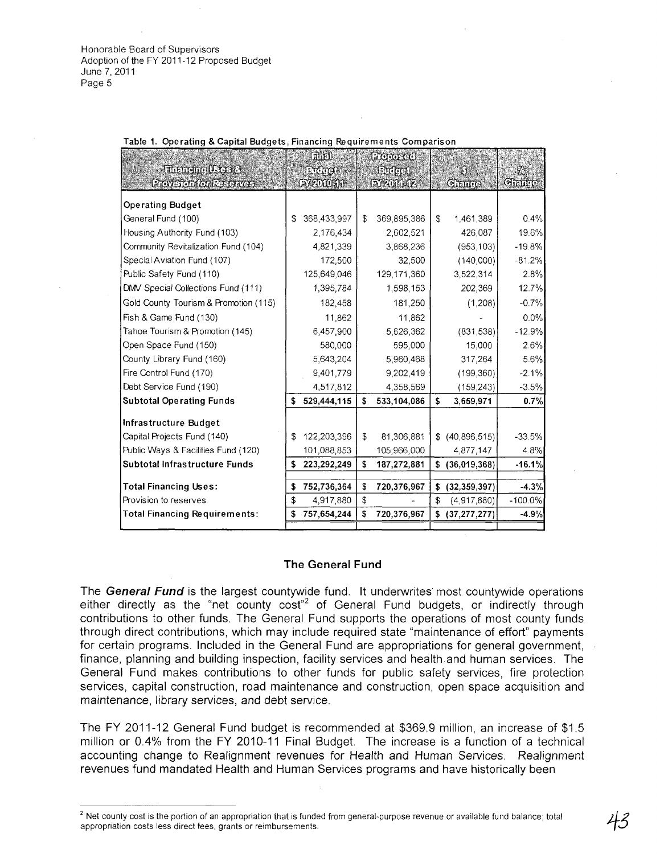|                                       | 市地                           | Profosco          |                      |           |
|---------------------------------------|------------------------------|-------------------|----------------------|-----------|
| <b>Enancing Uses &amp;</b>            | $\mathbb{R}$ of $\mathbb{R}$ | <b>Ending</b>     |                      |           |
| <b>Provision for Reserves</b>         | <b>EVEDIOSION</b>            | EX2011-12-        | Cheure <sup>®</sup>  | Grante    |
| <b>Operating Budget</b>               |                              |                   |                      |           |
| General Fund (100)                    | \$<br>368,433,997            | \$<br>369,895,386 | \$<br>1,461,389      | 0.4%      |
| Housing Authority Fund (103)          | 2,176,434                    | 2,602,521         | 426,087              | 19.6%     |
| Community Revitalization Fund (104)   | 4,821,339                    | 3,868,236         | (953, 103)           | $-19.8%$  |
| Special Aviation Fund (107)           | 172,500                      | 32,500            | (140,000)            | $-81.2%$  |
| Public Safety Fund (110)              | 125,649,046                  | 129,171,360       | 3,522,314            | 2.8%      |
| DMV Special Collections Fund (111)    | 1,395,784                    | 1,598,153         | 202,369              | 12.7%     |
| Gold County Tourism & Promotion (115) | 182,458                      | 181,250           | (1,208)              | $-0.7%$   |
| Fish & Game Fund (130)                | 11,862                       | 11.862            |                      | $0.0\%$   |
| Tahoe Tourism & Promotion (145)       | 6,457,900                    | 5,626,362         | (831, 538)           | $-12.9%$  |
| Open Space Fund (150)                 | 580,000                      | 595.000           | 15,000               | 2.6%      |
| County Library Fund (160)             | 5,643,204                    | 5,960,468         | 317,264              | 5.6%      |
| Fire Control Fund (170)               | 9,401,779                    | 9,202,419         | (199, 360)           | $-2.1%$   |
| Debt Service Fund (190)               | 4,517,812                    | 4,358,569         | (159, 243)           | $-3.5%$   |
| <b>Subtotal Operating Funds</b>       | \$<br>529,444,115            | \$<br>533,104,086 | \$<br>3,659,971      | 0.7%      |
| Infrastructure Budget                 |                              |                   |                      |           |
| Capital Projects Fund (140)           | \$<br>122,203,396            | \$<br>81,306,881  | \$<br>(40,896,515)   | $-33.5%$  |
| Public Ways & Facilities Fund (120)   | 101,088,853                  | 105,966,000       | 4,877,147            | 4.8%      |
| Subtotal Infrastructure Funds         | \$<br>223,292,249            | \$<br>187,272,881 | (36,019,368)         | $-16.1%$  |
|                                       |                              |                   |                      |           |
| <b>Total Financing Uses:</b>          | \$<br>752,736,364            | \$<br>720,376,967 | \$<br>(32, 359, 397) | $-4.3%$   |
| Provision to reserves                 | \$<br>4,917,880              | \$                | \$<br>(4,917,880)    | $-100.0%$ |
| <b>Total Financing Requirements:</b>  | \$<br>757,654,244            | \$<br>720,376,967 | \$<br>(37, 277, 277) | $-4.9%$   |
|                                       |                              |                   |                      |           |

Table 1. Operating & Capital Budgets, Financing Requirements Comparison

#### **The General Fund**

The **General Fund** is the largest countywide fund. **It** underwrites most countywide operations either directly as the "net county  $\cos t^{2}$  of General Fund budgets, or indirectly through contributions to other funds. The General Fund supports the operations of most county funds through direct contributions, which may include required state "maintenance of effort" payments for certain programs. Included in the General Fund are appropriations for general government, finance, planning and building inspection, facility services and health and human services. The General Fund makes contributions to other funds for public safety services, fire protection services, capital construction, road maintenance and construction, open space acquisition and maintenance, library services, and debt service.

The FY 2011-12 General Fund budget is recommended at \$369.9 million, an increase of \$1.5 million or 0.4% from the FY 2010-11 Final Budget. The increase is a function of a technical accounting change to Realignment revenues for Health and Human Services. Realignment revenues fund mandated Health and Human Services programs and have historically been

<sup>&</sup>lt;sup>2</sup> Net county cost is the portion of an appropriation that is funded from general-purpose revenue or available fund balance; total appropriation costs less direct fees, grants or reimbursements.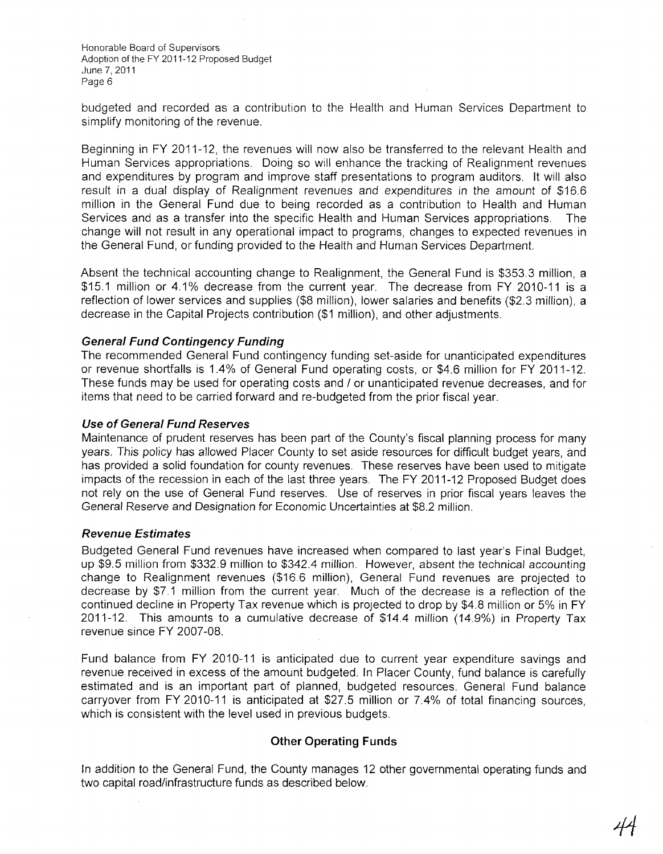budgeted and recorded as a contribution to the Health and Human Services Department to simplify monitoring of the revenue.

Beginning in FY 2011-12, the revenues will now also be transferred to the relevant Health and Human Services appropriations. Doing so will enhance the tracking of Realignment revenues and expenditures by program and improve staff presentations to program auditors. It will also result in a dual display of Realignment revenues and expenditures in the amount of \$16.6 million in the General Fund due to being recorded as a contribution to Health and Human Services and as a transfer into the specific Health and Human Services appropriations. The change will not result in any operational impact to programs, changes to expected revenues in the General Fund, or funding provided to the Health and Human Services Department.

Absent the technical accounting change to Realignment, the General Fund is \$353.3 million, a \$15.1 million or 4.1% decrease from the current year. The decrease from FY 2010-11 is a reflection of lower services and supplies (\$8 million), lower salaries and benefits (\$2.3 million), a decrease in the Capital Projects contribution (\$1 million), and other adjustments.

# **General Fund Contingency Funding**

The recommended General Fund contingency funding set-aside for unanticipated expenditures or revenue shortfalls is 1.4% of General Fund operating costs, or \$4.6 million for FY 2011-12. These funds may be used for operating costs and / or unanticipated revenue decreases, and for items that need to be carried forward and re-budgeted from the prior fiscal year.

### **Use of General Fund Reserves**

Maintenance of prudent reserves has been part of the County's fiscal planning process for many years. This policy has allowed Placer County to set aside resources for difficult budget years, and has provided a solid foundation for county revenues. These reserves have been used to mitigate impacts of the recession in each of the last three years. The FY 2011-12 Proposed Budget does not rely on the use of General Fund reserves. Use of reserves in prior fiscal years leaves the General Reserve and Designation for Economic Uncertainties at \$8.2 million.

#### **Revenue Estimates**

Budgeted General Fund revenues have increased when compared to last year's Final Budget, up \$9.5 million from \$332.9 million to \$342.4 million. However, absent the technical accounting change to Realignment revenues (\$166 million), General Fund revenues are projected to decrease by \$7.1 million from the current year. Much of the decrease is a reflection of the continued decline in Property Tax revenue which is projected to drop by \$4.8 million or 5% in FY 2011-12. This amounts to a cumulative decrease of \$14.4 million (14.9%) in Property Tax revenue since FY 2007-08.

Fund balance from FY 2010-11 is anticipated due to current year expenditure savings and revenue received in excess of the amount budgeted. In Placer County, fund balance is carefully estimated and is an important part of planned, budgeted resources. General Fund balance carryover from FY 2010-11 is anticipated at \$27.5 million or 7.4% of total financing sources, which is consistent with the level used in previous budgets.

# **Other Operating Funds**

In addition to the General Fund, the County manages 12 other governmental operating funds and two capital road/infrastructure funds as described below.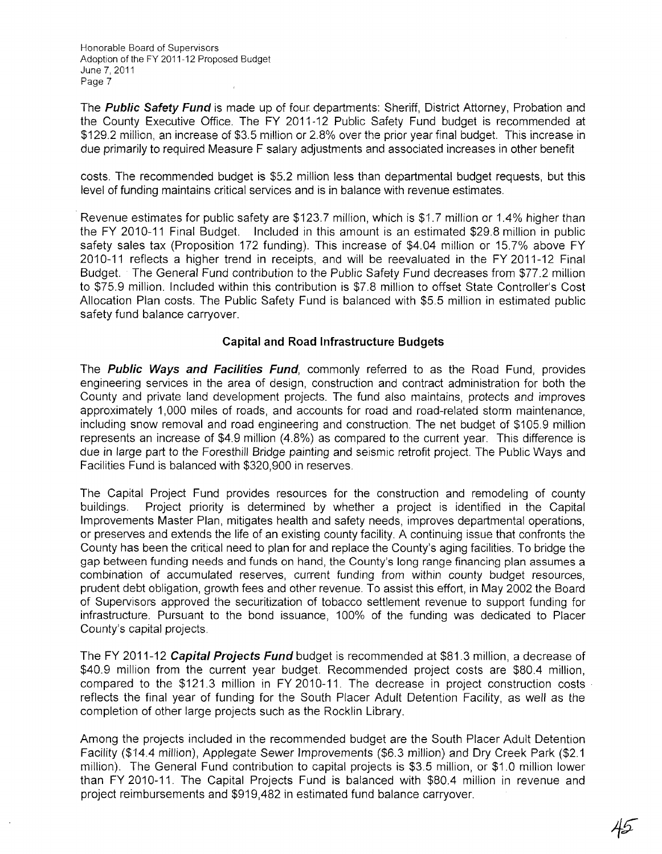The **Public Safety Fund** is made up of four departments: Sheriff, District Attorney, Probation and the County Executive Office. The FY 2011-12 Public Safety Fund budget is recommended at \$129.2 million, an increase of \$3.5 million or 2.8% over the prior year final budget. This increase in due primarily to required Measure F salary adjustments and associated increases in other benefit

costs. The recommended budget is \$5.2 million less than departmental budget requests, but this level of funding maintains critical services and is in balance with revenue estimates.

Revenue estimates for public safety are \$123.7 million, which is \$1.7 million or 1.4% higher than the FY 2010-11 Final Budget. Included in this amount is an estimated \$29.8 million in public safety sales tax (Proposition 172 funding). This increase of \$4.04 million or 15.7% above FY 2010-11 reflects a higher trend in receipts, and will be reevaluated in the FY 2011-12 Final Budget. The General Fund contribution to the Public Safety Fund decreases from \$77.2 million to \$75.9 million. Included within this contribution is \$7.8 million to offset State Controller's Cost Allocation Plan costs. The Public Safety Fund is balanced with \$5.5 million in estimated public safety fund balance carryover.

# **Capital and Road Infrastructure Budgets**

The **Public Ways and Facilities Fund,** commonly referred to as the Road Fund, provides engineering services in the area of design, construction and contract administration for both the County and private land development projects. The fund also maintains, protects and improves approximately 1,000 miles of roads, and accounts for road and road-related storm maintenance, including snow removal and road engineering and construction. The net budget of \$105.9 million represents an increase of \$4.9 million (4.8%) as compared to the current year. This difference is due in large part to the Foresthill Bridge painting and seismic retrofit project. The Public Ways and Facilities Fund is balanced with \$320,900 in reserves.

The Capital Project Fund provides resources for the construction and remodeling of county buildings. Project priority is determined by whether a project is identified in the Capital Improvements Master Plan, mitigates health and safety needs, improves departmental operations, or preserves and extends the life of an existing county facility. A continuing issue that confronts the County has been the critical need to plan for and replace the County's aging facilities. To bridge the gap between funding needs and funds on hand, the County's long range financing plan assumes a combination of accumulated reserves, current funding from within county budget resources, prudent debt obligation, growth fees and other revenue. To assist this effort, in May 2002 the Board of Supervisors approved the securitization of tobacco settlement revenue to support funding for infrastructure. Pursuant to the bond issuance, 100% of the funding was dedicated to Placer County's capital projects.

The FY 2011-12 **Capital Projects Fund** budget is recommended at \$81.3 million, a decrease of \$40.9 million from the current year budget. Recommended project costs are \$80.4 million, compared to the \$121.3 million in FY 2010-11. The decrease in project construction costs reflects the final year of funding for the South Placer Adult Detention Facility, as well as the completion of other large projects such as the Rocklin Library.

Among the projects included in the recommended budget are the South Placer Adult Detention Facility (\$14.4 million), Applegate Sewer Improvements (\$6.3 million) and Dry Creek Park (\$2.1 million). The General Fund contribution to capital projects is \$3.5 million, or \$1.0 million lower than FY 2010-11. The Capital Projects Fund is balanced with \$80.4 million in revenue and project reimbursements and \$919,482 in estimated fund balance carryover.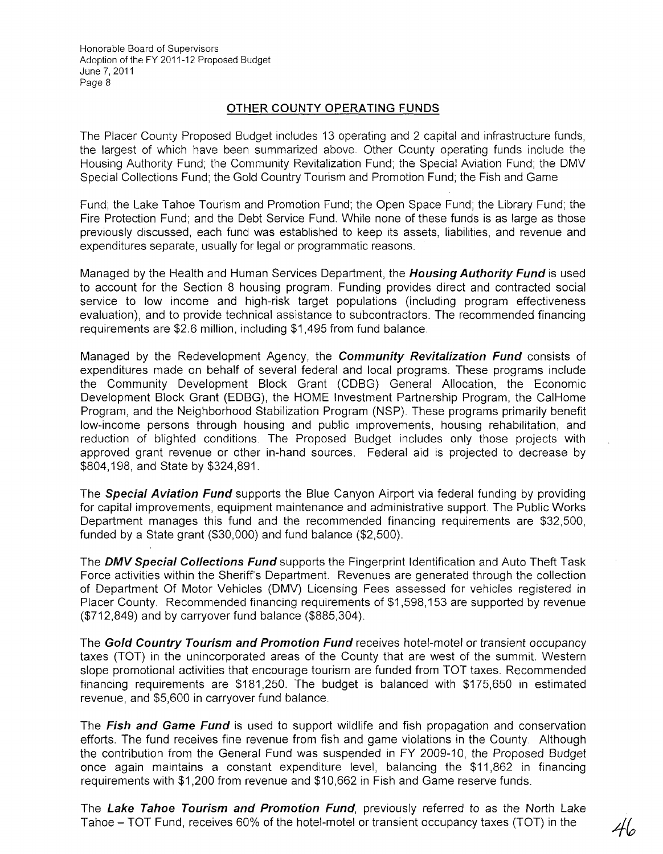# **OTHER COUNTY OPERATING FUNDS**

The Placer County Proposed Budget includes 13 operating and 2 capital and infrastructure funds, the largest of which have been summarized above. Other County operating funds include the Housing Authority Fund; the Community Revitalization Fund; the Special Aviation Fund; the DMV Special Collections Fund; the Gold Country Tourism and Promotion Fund; the Fish and Game

Fund; the Lake Tahoe Tourism and Promotion Fund; the Open Space Fund; the Library Fund; the Fire Protection Fund; and the Debt Service Fund. While none of these funds is as large as those previously discussed, each fund was established to keep its assets, liabilities, and revenue and expenditures separate, usually for legal or programmatic reasons.

Managed by the Health and Human Services Department, the **Housing Authority Fund** is used to account for the Section 8 housing program. Funding provides direct and contracted social service to low income and high-risk target populations (including program effectiveness evaluation), and to provide technical assistance to subcontractors. The recommended financing requirements are \$2.6 million, including \$1,495 from fund balance.

Managed by the Redevelopment Agency, the **Community Revitalization Fund** consists of expenditures made on behalf of several federal and local programs. These programs include the Community Development Block Grant (CDBG) General Allocation, the Economic Development Block Grant (EDBG), the HOME Investment Partnership Program, the CalHome Program, and the Neighborhood Stabilization Program (NSP). These programs primarily benefit low-income persons through housing and public improvements, housing rehabilitation, and reduction of blighted conditions. The Proposed Budget includes only those projects with approved grant revenue or other in-hand sources. Federal aid is projected to decrease by \$804,198, and State by \$324,891.

The **Special Aviation Fund** supports the Blue Canyon Airport via federal funding by providing for capital improvements, equipment maintenance and administrative support. The Public Works Department manages this fund and the recommended financing requirements are \$32,500, funded by a State grant (\$30,000) and fund balance (\$2,500).

The **DMV Special Collections Fund** supports the Fingerprint Identification and Auto Theft Task Force activities within the Sheriff's Department. Revenues are generated through the collection of Department Of Motor Vehicles (DMV) Licensing Fees assessed for vehicles registered in Placer County. Recommended financing requirements of \$1 ,598,153 are supported by revenue (\$712,849) and by carryover fund balance (\$885,304).

The **Gold Country Tourism and Promotion Fund** receives hotel-motel or transient occupancy taxes (TOT) in the unincorporated areas of the County that are west of the summit. Western slope promotional activities that encourage tourism are funded from TOT taxes. Recommended financing requirements are \$181,250. The budget is balanced with \$175,650 in estimated revenue, and \$5,600 in carryover fund balance.

The **Fish and Game Fund** is used to support wildlife and fish propagation and conservation efforts. The fund receives fine revenue from fish and game violations in the County. Although the contribution from the General Fund was suspended in FY 2009-10, the Proposed Budget once again maintains a constant expenditure level, balancing the \$11,862 in financing requirements with \$1,200 from revenue and \$10,662 in Fish and Game reserve funds.

The **Lake Tahoe Tourism and Promotion Fund,** previously referred to as the North Lake Tahoe – TOT Fund, receives 60% of the hotel-motel or transient occupancy taxes (TOT) in the  $\frac{1}{46}$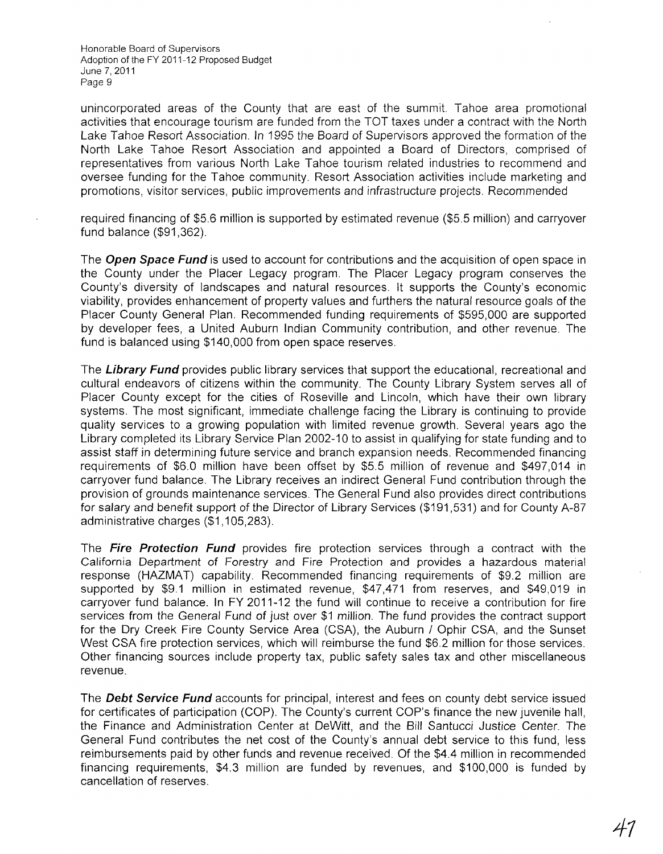unincorporated areas of the County that are east of the summit. Tahoe area promotional activities that encourage tourism are funded from the TOT taxes under a contract with the North Lake Tahoe Resort Association. In 1995 the Board of Supervisors approved the formation of the North Lake Tahoe Resort Association and appointed a Board of Directors, comprised of representatives from various North Lake Tahoe tourism related industries to recommend and oversee funding for the Tahoe community. Resort Association activities include marketing and promotions, visitor services, public improvements and infrastructure projects. Recommended

required financing of \$5.6 million is supported by estimated revenue (\$5.5 million) and carryover fund balance (\$91,362).

The **Open Space Fund** is used to account for contributions and the acquisition of open space in the County under the Placer Legacy program. The Placer Legacy program conserves the County's diversity of landscapes and natural resources. **It** supports the County's economic viability, provides enhancement of property values and furthers the natural resource goals of the Placer County General Plan. Recommended funding requirements of \$595,000 are supported by developer fees, a United Auburn Indian Community contribution, and other revenue. The fund is balanced using \$140,000 from open space reserves.

The **Library Fund** provides public library services that support the educational, recreational and cultural endeavors of citizens within the community. The County Library System serves all of Placer County except for the cities of Roseville and Lincoln, which have their own library systems. The most significant, immediate challenge facing the Library is continuing to provide quality services to a growing population with limited revenue growth. Several years ago the Library completed its Library Service Plan 2002-10 to assist in qualifying for state funding and to assist staff in determining future service and branch expansion needs. Recommended financing requirements of \$6.0 million have been offset by \$5.5 million of revenue and \$497,014 in carryover fund balance. The Library receives an indirect General Fund contribution through the provision of grounds maintenance services. The General Fund also provides direct contributions for salary and benefit support of the Director of Library Services (\$191,531) and for County A-87 administrative charges (\$1,105,283).

The **Fire Protection Fund** provides fire protection services through a contract with the California Department of Forestry and Fire Protection and provides a hazardous material response (HAZMAT) capability. Recommended financing requirements of \$9.2 million are supported by \$9.1 million in estimated revenue, \$47,471 from reserves, and \$49,019 in carryover fund balance. In FY 2011-12 the fund will continue to receive a contribution for fire services from the General Fund of just over \$1 million. The fund provides the contract support for the Dry Creek Fire County Service Area (CSA), the Auburn / Ophir CSA, and the Sunset West CSA fire protection services, which will reimburse the fund \$6.2 million for those services. Other financing sources include property tax, public safety sales tax and other miscellaneous revenue.

The **Debt Service Fund** accounts for principal, interest and fees on county debt service issued for certificates of participation (COP). The County's current COP's finance the new juvenile hall, the Finance and Administration Center at DeWitt, and the Bill Santucci Justice Center. The General Fund contributes the net cost of the County's annual debt service to this fund, less reimbursements paid by other funds and revenue received. Of the \$4.4 million in recommended financing requirements, \$4.3 million are funded by revenues, and \$100,000 is funded by cancellation of reserves.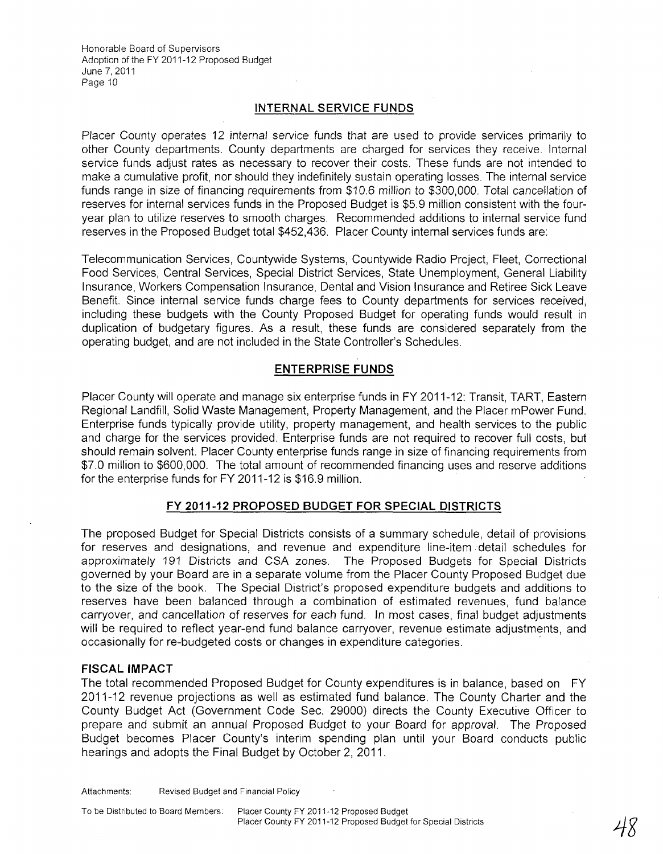# **INTERNAL SERVICE FUNDS**

Placer County operates 12 internal service funds that are used to provide services primarily to other County departments. County departments are charged for services they receive. Internal service funds adjust rates as necessary to recover their costs. These funds are not intended to make a cumulative profit, nor should they indefinitely sustain operating losses. The internal service funds range in size of financing requirements from \$10.6 million to \$300,000. Total cancellation of reserves for internal services funds in the Proposed Budget is \$5.9 million consistent with the fouryear plan to utilize reserves to smooth charges. Recommended additions to internal service fund reserves in the Proposed Budget total \$452,436. Placer County internal services funds are:

Telecommunication Services, Countywide Systems, Countywide Radio Project, Fleet, Correctional Food Services, Central Services, Special District Services, State Unemployment, General Liability Insurance, Workers Compensation Insurance, Dental and Vision Insurance and Retiree Sick Leave Benefit. Since internal service funds charge fees to County departments for services received, including these budgets with the County Proposed Budget for operating funds would result in duplication of budgetary figures. As a result, these funds are considered separately from the operating budget, and are not included in the State Controller's Schedules.

# **ENTERPRISE FUNDS**

Placer County will operate and manage six enterprise funds in FY 2011-12: Transit, TART, Eastern Regional Landfill, Solid Waste Management, Property Management, and the Placer mPower Fund. Enterprise funds typically provide utility, property management, and health services to the public and charge for the services provided. Enterprise funds are not required to recover full costs, but should remain solvent. Placer County enterprise funds range in size of financing requirements from \$7.0 million to \$600,000. The total amount of recommended financing uses and reserve additions for the enterprise funds for FY 2011-12 is \$16.9 million.

# **FY 2011-12 PROPOSED BUDGET FOR SPECIAL DISTRICTS**

The proposed Budget for Special Districts consists of a summary schedule, detail of provisions for reserves and designations, and revenue and expenditure line-item. detail schedules for approximately 191 Districts and CSA zones. The Proposed Budgets for Special Districts governed by your Board are in a separate volume from the Placer County Proposed Budget due to the size of the book. The Special District's proposed expenditure budgets and additions to reserves have been balanced through a combination of estimated revenues, fund balance carryover, and cancellation of reserves for each fund. In most cases, final budget adjustments will be required to reflect year-end fund balance carryover, revenue estimate adjustments, and occasionally for re-budgeted costs or changes in expenditure categories. .

# **FISCAL IMPACT**

The total recommended Proposed Budget for County expenditures is in balance, based on FY 2011-12 revenue projections as well as estimated fund balance. The County Charter and the County Budget Act (Government Code Sec. 29000) directs the County Executive Officer to prepare and submit an annual Proposed Budget to your Board for approval. The Proposed Budget becomes Placer County's interim spending plan until your Board conducts public hearings and adopts the Final Budget by October 2, 2011.

To be Distributed to Board Members: Placer County FY 2011-12 Proposed Budget Placer County FY 2011-12 Proposed Budget for Special Districts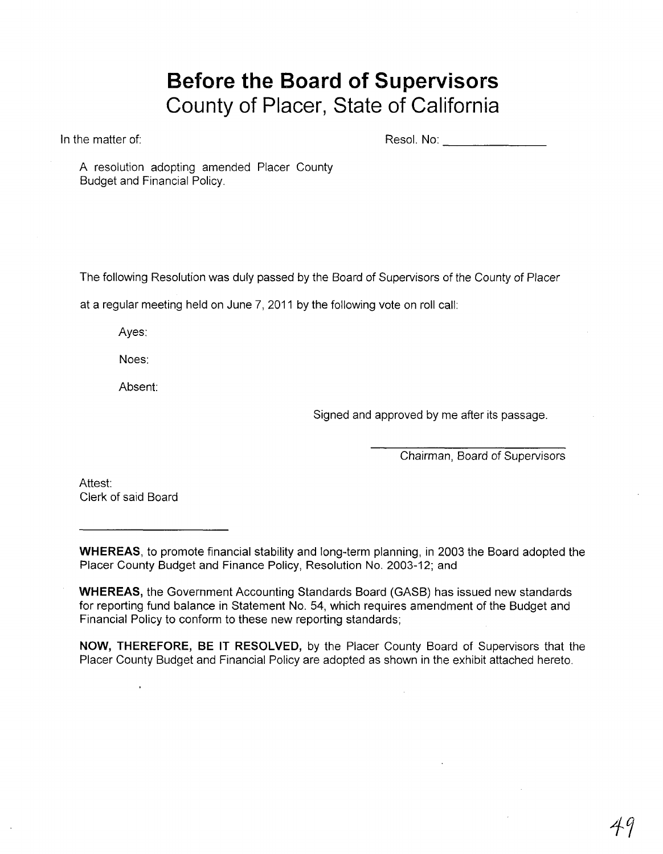# **Before the Board of Supervisors County of Placer, State of California**

In the matter of:

Resol. No: \_\_\_\_\_\_ \_

A resolution adopting amended Placer County Budget and Financial Policy.

The following Resolution was duly passed by the Board of Supervisors of the County of Placer

at a regular meeting held on June 7, 2011 by the following vote on roll call:

Ayes:

Noes:

Absent:

Signed and approved by me after its passage.

Chairman, Board of Supervisors

Attest: Clerk of said Board

**WHEREAS,** to promote financial stability and long-term planning, in 2003 the Board adopted the Placer County Budget and Finance Policy, Resolution No. 2003-12; and

**WHEREAS,** the Government Accounting Standards Board (GASB) has issued new standards for reporting fund balance in Statement No. 54, which requires amendment of the Budget and Financial Policy to conform to these new reporting standards;

**NOW, THEREFORE, BE IT RESOLVED,** by the Placer County Board of Supervisors that the Placer County Budget and Financial Policy are adopted as shown in the exhibit attached hereto.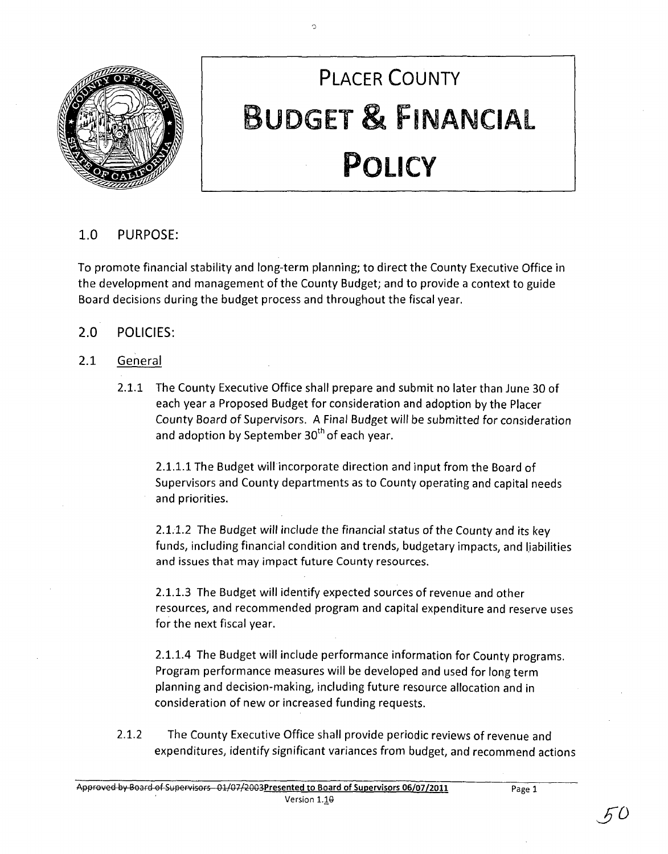

# **PLACER COUNTY BUDGET & FINANCIAL POLICY**

# 1.0 PURPOSE:

To promote financial stability and long-term planning; to direct the County Executive Office in the development and management of the County Budget; and to provide a context to guide Board decisions during the budget process and throughout the fiscal year.

')

# 2.0 POLICIES:

# 2.1 General

2.1.1 The County Executive Office shall prepare and submit no later than June 30 of each year a Proposed Budget for consideration and adoption by the Placer County Board of Supervisors. A Final Budget will be submitted for consideration and adoption by September  $30<sup>th</sup>$  of each year.

2.1.1.1 The Budget will incorporate direction and input from the Board of Supervisors and County departments as to County operating and capital needs and priorities.

2.1.1.2 The Budget will include the financial status of the County and its key funds, including financial condition and trends, budgetary impacts, and liabilities and issues that may impact future County resources.

2.1.1.3 The Budget will identify expected sources of revenue and other resources, and recommended program and capital expenditure and reserve uses for the next fiscal year.

2.1.1.4 The Budget will include performance information for County programs. Program performance measures will be developed and used for long term planning and decision-making, including future resource allocation and in consideration of new or increased funding requests.

2.1.2 The County Executive Office shall provide periodic reviews of revenue and expenditures, identify significant variances from budget, and recommend actions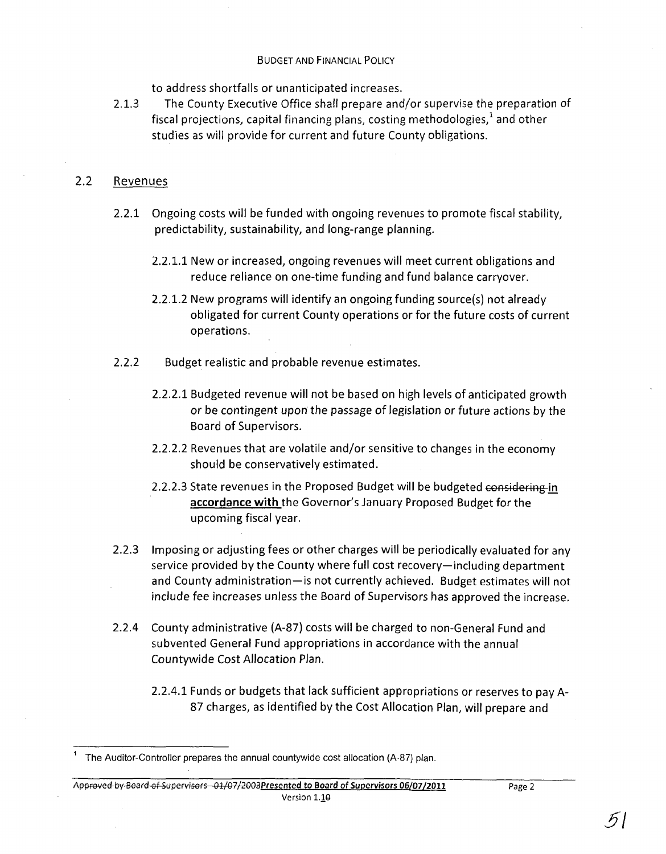to address shortfalls or unanticipated increases.

2.1.3 The County Executive Office shall prepare and/or supervise the preparation of fiscal projections, capital financing plans, costing methodologies, $^1$  and other studies as will provide for current and future County obligations.

# 2.2 Revenues

- 2.2.1 Ongoing costs will be funded with ongoing revenues to promote fiscal stability, predictability, sustainability, and long-range planning.
	- 2.2.1.1 New or increased, ongoing revenues will meet current obligations and reduce reliance on one-time funding and fund balance carryover.
	- 2.2.1.2 New programs will identify an ongoing funding source(s) not already obligated for current County operations or for the future costs of current operations.
- 2.2.2 Budget realistic and probable revenue estimates.
	- 2.2.2.1 Budgeted revenue will not be based on high levels of anticipated growth or be contingent upon the passage of legislation or future actions by the Board of Supervisors.
	- 2.2.2.2 Revenues that are volatile and/or sensitive to changes in the economy should be conservatively estimated.
	- 2.2.2.3 State revenues in the Proposed Budget will be budgeted considering **in accordance with** the Governor's January Proposed Budget for the upcoming fiscal year.
- 2.2.3 Imposing or adjusting fees or other charges will be periodically evaluated for any service provided by the County where full cost recovery—including department and County administration-is not currently achieved. Budget estimates will not include fee increases unless the Board of Supervisors has approved the increase.
- 2.2.4 County administrative (A-87) costs will be charged to non-General Fund and subvented General Fund appropriations in accordance with the annual Countywide Cost Allocation Plan.
	- 2.2.4.1 Funds or budgets that lack sufficient appropriations or reserves to pay A-87 charges, as identified by the Cost Allocation Plan, will prepare and

Approved by Board of Supervisors - 01/07/2003 Presented to Board of Supervisors 06/07/2011 Version *1.10* 

<sup>1</sup> The Auditor-Controller prepares the annual countywide cost allocation (A-87) plan.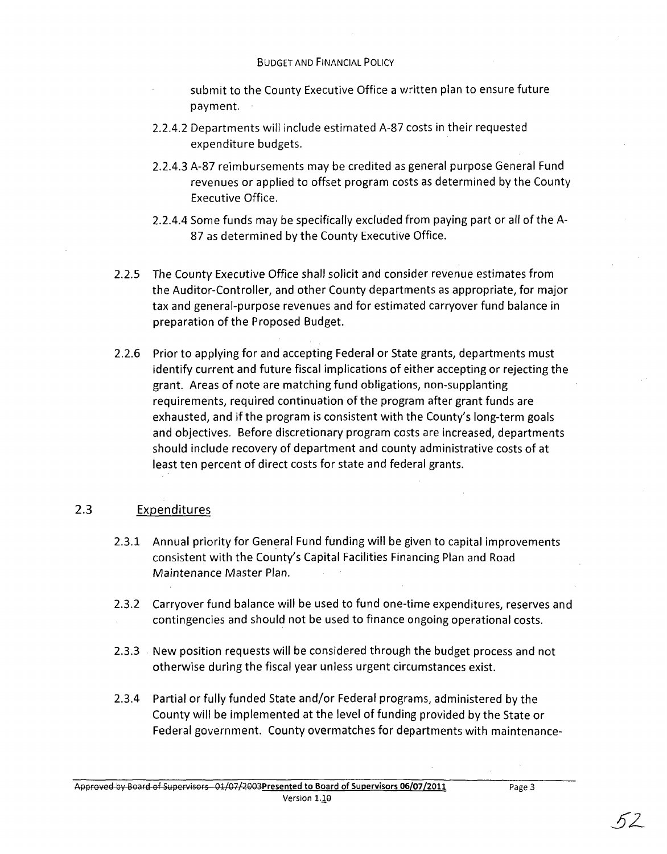# BUDGET AND FINANCIAL POLICY

submit to the County Executive Office a written plan to ensure future payment.

- 2.2.4.2 Departments will include estimated A-87 costs in their requested expenditure budgets.
- 2.2.4.3 A-87 reimbursements may be credited as general purpose General Fund revenues or applied to offset program costs as determined by the County Executive Office.
- 2.2.4.4 Some funds may be specifically excluded from paying part or all of the A-87 as determined by the County Executive Office.
- 2.2.5 The County Executive Office shall solicit and consider revenue estimates from the Auditor-Controller, and other County departments as appropriate, for major tax and general-purpose revenues and for estimated carryover fund balance in preparation of the Proposed Budget.
- 2.2.6 Prior to applying for and accepting Federal or State grants, departments must identify current and future fiscal implications of either accepting or rejecting the grant. Areas of note are matching fund obligations, non-supplanting requirements, required continuation of the program after grant funds are exhausted, and if the program is consistent with the County's long-term goals and objectives. Before discretionary program costs are increased, departments should include recovery of department and county administrative costs of at least ten percent of direct costs for state and federal grants.

# 2.3 Expenditures

- 2.3.1 Annual priority for General Fund funding will be given to capital improvements consistent with the County's Capital Facilities Financing Plan and Road Maintenance Master Plan.
- 2.3.2 Carryover fund balance will be used to fund one-time expenditures, reserves and contingencies and should not be used to finance ongoing operational costs.
- 2.3.3 New position requests will be considered through the budget process and not otherwise during the fiscal year unless urgent circumstances exist.
- 2.3.4 Partial or fully funded State and/or Federal programs, administered by the County will be implemented at the level of funding provided by the State or Federal government. County overmatches for departments with maintenance-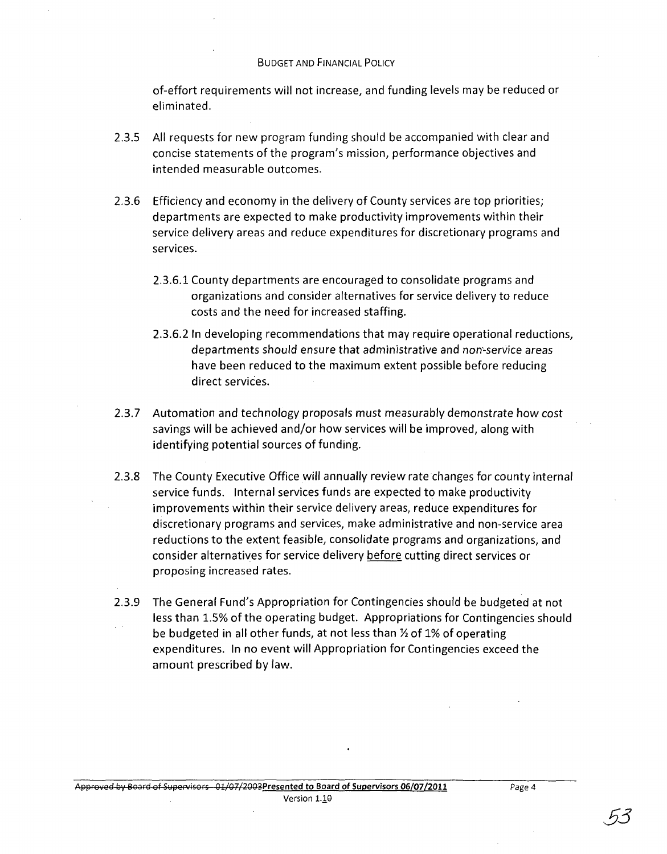#### BUDGET AND FINANCIAL POLICY

of-effort requirements will not increase, and funding levels may be reduced or eliminated.

- 2.3.5 All requests for new program funding should be accompanied with clear and concise statements of the program's mission, performance objectives and intended measurable outcomes.
- 2.3.6 Efficiency and economy in the delivery of County services are top priorities; departments are expected to make productivity improvements within their service delivery areas and reduce expenditures for discretionary programs and services.
	- 2.3.6.1 County departments are encouraged to consolidate programs and organizations and consider alternatives for service delivery to reduce costs and the need for increased staffing.
	- 2.3.6.2 In developing recommendations that may require operational reductions, departments should ensure that administrative and non'-service areas have been reduced to the maximum extent possible before reducing direct services.
- 2.3.7 Automation and technology proposals must measurably demonstrate how cost savings will be achieved and/or how services will be improved, along with identifying potential sources of funding.
- 2.3.8 The County Executive Office will annually review rate changes for county internal service funds. Internal services funds are expected to make productivity improvements within their service delivery areas, reduce expenditures for discretionary programs and services, make administrative and non-service area reductions to the extent feasible, consolidate programs and organizations, and consider alternatives for service delivery before cutting direct services or proposing increased rates.
- 2.3.9 The General Fund's Appropriation for Contingencies should be budgeted at not less than 1.5% of the operating budget. Appropriations for Contingencies should be budgeted in all other funds, at not less than  $\frac{1}{2}$  of 1% of operating expenditures. In no event will Appropriation for Contingencies exceed the amount prescribed by law.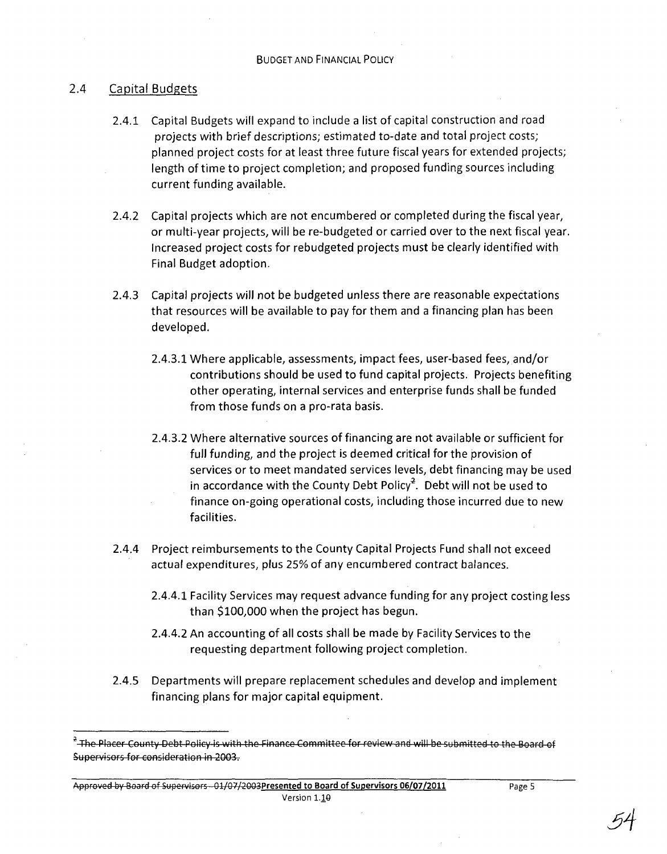# 2.4 Capital Budgets

- 2.4.1 Capital Budgets will expand to include a list of capital construction and road projects with brief descriptions; estimated to-date and total project costs; planned project costs for at least three future fiscal years for extended projects; length of time to project completion; and proposed funding sources including current funding available.
- 2.4.2 Capital projects which are not encumbered or completed during the fiscal year, or multi-year projects, will be re-budgeted or carried over to the next fiscal year. Increased project costs for rebudgeted projects must be clearly identified with Final Budget adoption.
- 2.4.3 Capital projects will not be budgeted unless there are reasonable expectations that resources will be available to pay for them and a financing plan has been developed.
	- 2.4.3.1 Where applicable, assessments, impact fees, user-based fees, and/or contributions should be used to fund capital projects. Projects benefiting other operating, internal services and enterprise funds shall be funded from those funds on a pro-rata basis.
	- 2.4.3.2 Where alternative sources of financing are not available or sufficient for full funding, and the project is deemed critical for the provision of services or to meet mandated services levels, debt financing may be used in accordance with the County Debt Policy<sup>2</sup>. Debt will not be used to finance on-going operational costs, including those incurred due to new facilities.
- 2.4.4 Project reimbursements to the County Capital Projects Fund shall not exceed actual expenditures, plus 25% of any encumbered contract balances.
	- 2.4.4.1 Facility Services may request advance funding for any project costing less than \$100,000 when the project has begun.
	- 2.4.4.2 An accounting of all costs shall be made by Facility Services to the requesting department following project completion.
- 2.4.5 Departments will prepare replacement schedules and develop and implement financing plans for major capital equipment.

Approved by Board of Supervisors - 01/07/2003Presented to Board of Supervisors 06/07/2011 Version 1.10

 $^2$  The Placer County Debt Policy is with the Finance Committee for review and will be submitted to the Board of Supervisors for consideration in 2003.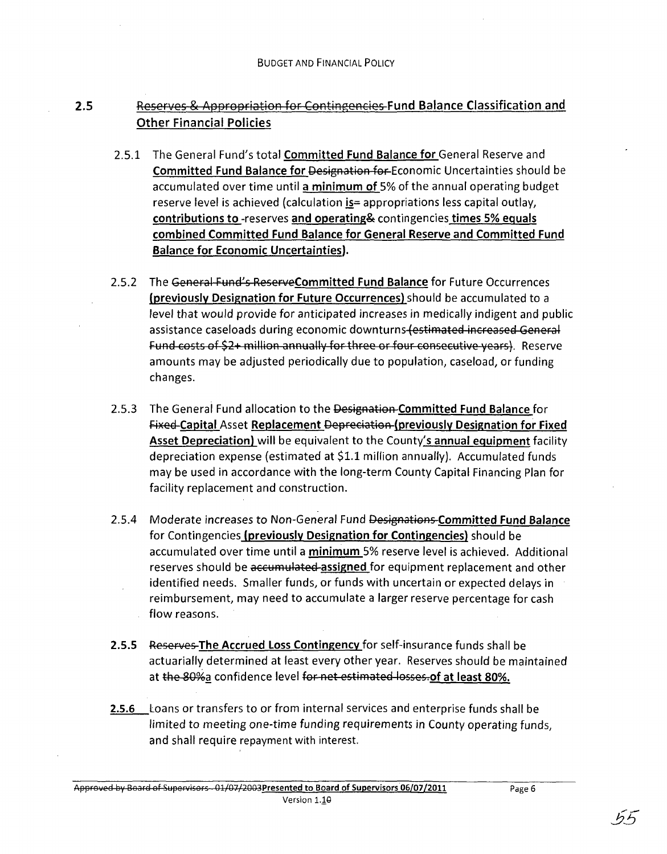# 2.5 Reserves & Appropriation for Contingencies Fund Balance Classification and Other Financial Policies

- 2.5.1 The General Fund's total Committed Fund Balance for General Reserve and Committed Fund Balance for Designation for Economic Uncertainties should be accumulated over time until a minimum of 5% of the annual operating budget reserve level is achieved (calculation is = appropriations less capital outlay, contributions to -reserves and operating& contingencies times 5% equals combined Committed Fund Balance for General Reserve and Committed Fund Balance for Economic Uncertainties).
- 2.5.2 The General Fund's ReserveCommitted Fund Balance for Future Occurrences (previously Designation for Future Occurrences) should be accumulated to a level that would provide for anticipated increases in medically indigent and public assistance caseloads during economic downturns (estimated increased General Fund costs of \$2+ million annually for three or four consecutive years). Reserve amounts may be adjusted periodically due to population, caseload, or funding changes.
- 2.5.3 The General Fund allocation to the Designation Committed Fund Balance for Fixed Capital Asset Replacement Depreciation (previously Designation for Fixed **Asset Depreciation)** will be equivalent to the County's **annual equipment** facility depreciation expense (estimated at \$1.1 million annually). Accumulated funds may be used in accordance with the long-term County Capital Financing Plan for facility replacement and construction.
- 2.5.4 Moderate increases to Non-General Fund Designations-Committed Fund Balance for Contingencies (previously Designation for Contingencies) should be accumulated over time until a minimum 5% reserve level is achieved. Additional reserves should be accumulated assigned for equipment replacement and other identified needs. Smaller funds, or funds with uncertain or expected delays in reimbursement, may need to accumulate a larger reserve percentage for cash flow reasons.
- **2.5.5** Reserves The Accrued Loss Contingency for self-insurance funds shall be actuarially determined at least every other year. Reserves should be maintained at the 80% a confidence level for net estimated losses. of at least 80%.
- 2.5.6 Loans or transfers to or from internal services and enterprise funds shall be limited to meeting one-time funding requirements in County operating funds, and shall require repayment with interest.